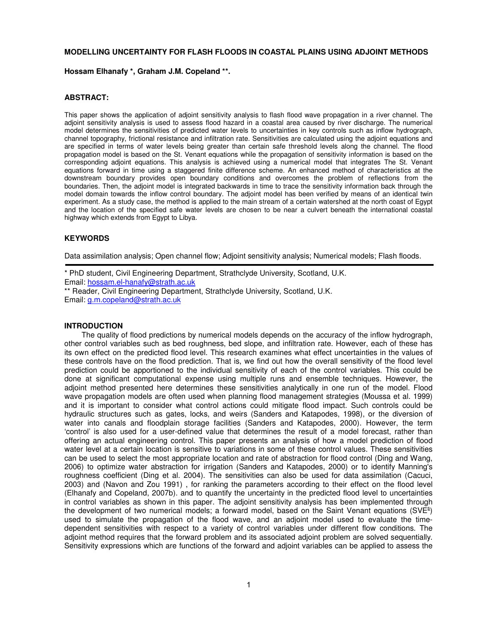# **MODELLING UNCERTAINTY FOR FLASH FLOODS IN COASTAL PLAINS USING ADJOINT METHODS**

### **Hossam Elhanafy \*, Graham J.M. Copeland \*\*.**

## **ABSTRACT:**

This paper shows the application of adjoint sensitivity analysis to flash flood wave propagation in a river channel. The adjoint sensitivity analysis is used to assess flood hazard in a coastal area caused by river discharge. The numerical model determines the sensitivities of predicted water levels to uncertainties in key controls such as inflow hydrograph, channel topography, frictional resistance and infiltration rate. Sensitivities are calculated using the adjoint equations and are specified in terms of water levels being greater than certain safe threshold levels along the channel. The flood propagation model is based on the St. Venant equations while the propagation of sensitivity information is based on the corresponding adjoint equations. This analysis is achieved using a numerical model that integrates The St. Venant equations forward in time using a staggered finite difference scheme. An enhanced method of characteristics at the downstream boundary provides open boundary conditions and overcomes the problem of reflections from the boundaries. Then, the adjoint model is integrated backwards in time to trace the sensitivity information back through the model domain towards the inflow control boundary. The adjoint model has been verified by means of an identical twin experiment. As a study case, the method is applied to the main stream of a certain watershed at the north coast of Egypt and the location of the specified safe water levels are chosen to be near a culvert beneath the international coastal highway which extends from Egypt to Libya.

# **KEYWORDS**

Data assimilation analysis; Open channel flow; Adjoint sensitivity analysis; Numerical models; Flash floods.

\* PhD student, Civil Engineering Department, Strathclyde University, Scotland, U.K. Email: hossam.el-hanafy@strath.ac.uk

\*\* Reader, Civil Engineering Department, Strathclyde University, Scotland, U.K. Email: g.m.copeland@strath.ac.uk

#### **INTRODUCTION**

The quality of flood predictions by numerical models depends on the accuracy of the inflow hydrograph, other control variables such as bed roughness, bed slope, and infiltration rate. However, each of these has its own effect on the predicted flood level. This research examines what effect uncertainties in the values of these controls have on the flood prediction. That is, we find out how the overall sensitivity of the flood level prediction could be apportioned to the individual sensitivity of each of the control variables. This could be done at significant computational expense using multiple runs and ensemble techniques. However, the adjoint method presented here determines these sensitivities analytically in one run of the model. Flood wave propagation models are often used when planning flood management strategies (Moussa et al. 1999) and it is important to consider what control actions could mitigate flood impact. Such controls could be hydraulic structures such as gates, locks, and weirs (Sanders and Katapodes, 1998), or the diversion of water into canals and floodplain storage facilities (Sanders and Katapodes, 2000). However, the term 'control' is also used for a user-defined value that determines the result of a model forecast, rather than offering an actual engineering control. This paper presents an analysis of how a model prediction of flood water level at a certain location is sensitive to variations in some of these control values. These sensitivities can be used to select the most appropriate location and rate of abstraction for flood control (Ding and Wang, 2006) to optimize water abstraction for irrigation (Sanders and Katapodes, 2000) or to identify Manning's roughness coefficient (Ding et al. 2004). The sensitivities can also be used for data assimilation (Cacuci, 2003) and (Navon and Zou 1991) , for ranking the parameters according to their effect on the flood level (Elhanafy and Copeland, 2007b). and to quantify the uncertainty in the predicted flood level to uncertainties in control variables as shown in this paper. The adjoint sensitivity analysis has been implemented through the development of two numerical models; a forward model, based on the Saint Venant equations (SVE<sup>s</sup>) used to simulate the propagation of the flood wave, and an adjoint model used to evaluate the timedependent sensitivities with respect to a variety of control variables under different flow conditions. The adjoint method requires that the forward problem and its associated adjoint problem are solved sequentially. Sensitivity expressions which are functions of the forward and adjoint variables can be applied to assess the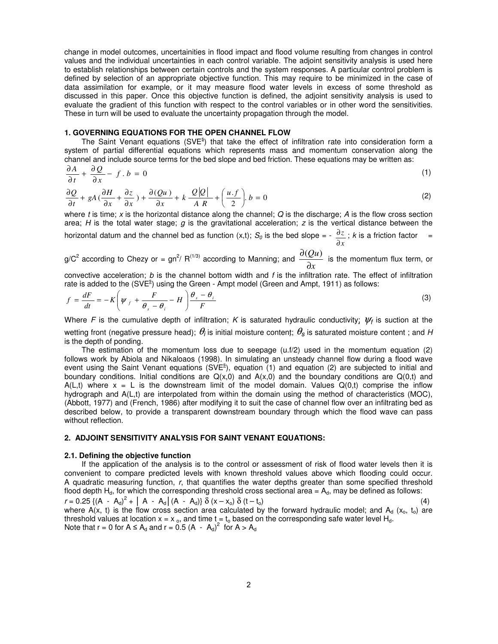change in model outcomes, uncertainities in flood impact and flood volume resulting from changes in control values and the individual uncertainties in each control variable. The adjoint sensitivity analysis is used here to establish relationships between certain controls and the system responses. A particular control problem is defined by selection of an appropriate objective function. This may require to be minimized in the case of data assimilation for example, or it may measure flood water levels in excess of some threshold as discussed in this paper. Once this objective function is defined, the adjoint sensitivity analysis is used to evaluate the gradient of this function with respect to the control variables or in other word the sensitivities. These in turn will be used to evaluate the uncertainty propagation through the model.

## **1. GOVERNING EQUATIONS FOR THE OPEN CHANNEL FLOW**

The Saint Venant equations (SVE $s$ ) that take the effect of infiltration rate into consideration form a system of partial differential equations which represents mass and momentum conservation along the channel and include source terms for the bed slope and bed friction. These equations may be written as:

$$
\frac{\partial A}{\partial t} + \frac{\partial Q}{\partial x} - f \cdot b = 0 \tag{1}
$$

$$
\frac{\partial Q}{\partial t} + gA\left(\frac{\partial H}{\partial x} + \frac{\partial z}{\partial x}\right) + \frac{\partial (Qu)}{\partial x} + k \frac{Q|Q|}{A R} + \left(\frac{u \cdot f}{2}\right) b = 0
$$
\n(2)

where t is time; x is the horizontal distance along the channel; Q is the discharge; A is the flow cross section area; H is the total water stage;  $g$  is the gravitational acceleration;  $z$  is the vertical distance between the horizontal datum and the channel bed as function (x,t);  $S_o$  is the bed slope = *x z* ∂  $\frac{\partial z}{\partial x}$ ; k is a friction factor =

g/C<sup>2</sup> according to Chezy or =  $\text{gn}^2$ / R<sup>(1/3)</sup> according to Manning; and *x Qu* ∂  $\frac{\partial (Qu)}{\partial (Qu)}$  is the momentum flux term, or

convective acceleration;  $b$  is the channel bottom width and  $f$  is the infiltration rate. The effect of infiltration rate is added to the  $(SVE^{s})$  using the Green - Ampt model (Green and Ampt, 1911) as follows:

$$
f = \frac{dF}{dt} = -K \left( \psi_f + \frac{F}{\theta_s - \theta_i} - H \right) \frac{\theta_s - \theta_i}{F}
$$
 (3)

Where F is the cumulative depth of infiltration; K is saturated hydraulic conductivity;  $\psi_f$  is suction at the wetting front (negative pressure head);  $\theta_i$  is initial moisture content;  $\theta_s$  is saturated moisture content ; and H is the depth of ponding.

The estimation of the momentum loss due to seepage (u.f/2) used in the momentum equation (2) follows work by Abiola and Nikaloaos (1998). In simulating an unsteady channel flow during a flood wave event using the Saint Venant equations (SVE<sup>s</sup>), equation (1) and equation (2) are subjected to initial and boundary conditions. Initial conditions are  $Q(x,0)$  and  $A(x,0)$  and the boundary conditions are  $Q(0,t)$  and A(L,t) where  $x = L$  is the downstream limit of the model domain. Values  $Q(0,t)$  comprise the inflow hydrograph and A(L,t) are interpolated from within the domain using the method of characteristics (MOC), (Abbott, 1977) and (French, 1986) after modifying it to suit the case of channel flow over an infiltrating bed as described below, to provide a transparent downstream boundary through which the flood wave can pass without reflection.

# **2. ADJOINT SENSITIVITY ANALYSIS FOR SAINT VENANT EQUATIONS:**

#### **2.1. Defining the objective function**

If the application of the analysis is to the control or assessment of risk of flood water levels then it is convenient to compare predicted levels with known threshold values above which flooding could occur. A quadratic measuring function, r, that quantifies the water depths greater than some specified threshold flood depth  $H_d$ , for which the corresponding threshold cross sectional area =  $A_d$ , may be defined as follows:  $r = 0.25 \{ (A - A_d)^2 + |A - A_d| (A - A_d) \} \delta (x - x_o) \delta (t - t_o)$  (4) where  $A(x, t)$  is the flow cross section area calculated by the forward hydraulic model; and  $A_d$  (x<sub>o</sub>, t<sub>o</sub>) are threshold values at location  $x = x_0$ , and time  $t = t_0$  based on the corresponding safe water level H<sub>d</sub>. Note that  $r = 0$  for  $A \le A_d$  and  $r = 0.5 (A - A_d)^2$  for  $A > A_d$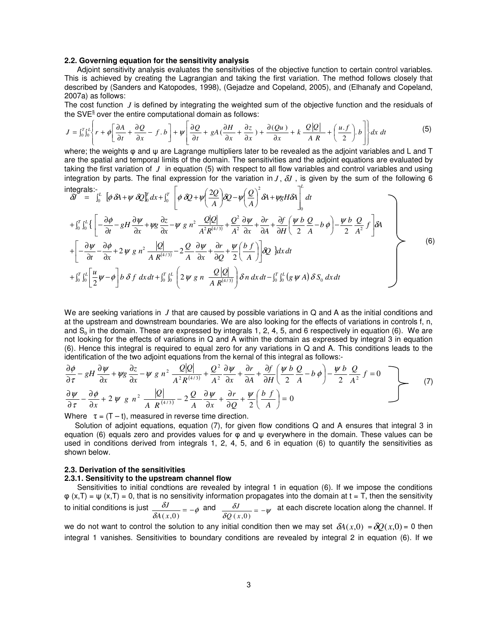### **2.2. Governing equation for the sensitivity analysis**

 Adjoint sensitivity analysis evaluates the sensitivities of the objective function to certain control variables. This is achieved by creating the Lagrangian and taking the first variation. The method follows closely that described by (Sanders and Katopodes, 1998), (Gejadze and Copeland, 2005), and (Elhanafy and Copeland, 2007a) as follows:

The cost function *J* is defined by integrating the weighted sum of the objective function and the residuals of the SVE $<sup>s</sup>$  over the entire computational domain as follows:</sup>

$$
J = \int_0^T \int_0^L \left\{ r + \phi \left[ \frac{\partial A}{\partial t} + \frac{\partial Q}{\partial x} - f \cdot b \right] + \psi \left[ \frac{\partial Q}{\partial t} + gA \left( \frac{\partial H}{\partial x} + \frac{\partial z}{\partial x} \right) + \frac{\partial (Qu)}{\partial x} + k \frac{Q|Q|}{AR} + \left( \frac{u \cdot f}{2} \right) b \right] \right\} dx dt
$$
 (5)

*L* 2 where; the weights φ and ψ are Lagrange multipliers later to be revealed as the adjoint variables and L and T are the spatial and temporal limits of the domain. The sensitivities and the adjoint equations are evaluated by taking the first variation of *J* in equation (5) with respect to all flow variables and control variables and using integration by parts. The final expression for the variation in  $J$ ,  $\delta J$ , is given by the sum of the following 6 inter

ntegrals:-  
\n
$$
\delta I = \int_0^L \left[ \phi \, \delta A + \psi \, \delta Q \right]_0^T dx + \int_0^T \left[ \phi \, \delta Q + \psi \left( \frac{2Q}{A} \right) \delta Q - \psi \left( \frac{Q}{A} \right)^2 \delta A + \psi g H \delta A \right]_0^T dt
$$
\n
$$
+ \int_0^T \int_0^L \left\{ \left[ -\frac{\partial \phi}{\partial t} - gH \frac{\partial \psi}{\partial x} + \psi g \frac{\partial z}{\partial x} - \psi g n^2 \frac{Q|Q|}{A^2 R^{(4/3)}} + \frac{Q^2}{A^2} \frac{\partial \psi}{\partial x} + \frac{\partial r}{\partial A} + \frac{\partial f}{\partial H} \left( \frac{\psi b}{2} \frac{Q}{A} - b \phi \right) - \frac{\psi b}{2} \frac{Q}{A^2} f \right] \delta A
$$
\n
$$
+ \left[ -\frac{\partial \psi}{\partial t} - \frac{\partial \phi}{\partial x} + 2 \psi g n^2 \frac{|Q|}{A R^{(4/3)}} - 2 \frac{Q}{A} \frac{\partial \psi}{\partial x} + \frac{\partial r}{\partial Q} + \frac{\psi}{2} \left( \frac{b}{A} \right) \right] \delta Q \right\} dx dt
$$
\n
$$
+ \int_0^T \int_0^L \left[ \frac{u}{2} \psi - \phi \right] b \delta f dx dt + \int_0^T \int_0^L \left( 2 \psi g n \frac{Q|Q|}{A R^{(4/3)}} \right) \delta n dx dt - \int_0^T \int_0^L (g \psi A) \delta S_0 dx dt
$$
\n(6)

We are seeking variations in *J* that are caused by possible variations in Q and A as the initial conditions and at the upstream and downstream boundaries. We are also looking for the effects of variations in controls f, n, and  $S_0$  in the domain. These are expressed by integrals 1, 2, 4, 5, and 6 respectively in equation (6). We are not looking for the effects of variations in Q and A within the domain as expressed by integral 3 in equation (6). Hence this integral is required to equal zero for any variations in Q and A. This conditions leads to the identification of the two adjoint equations from the kernal of this integral as follows:-

$$
\frac{\partial \phi}{\partial \tau} - gH \frac{\partial \psi}{\partial x} + \psi g \frac{\partial z}{\partial x} - \psi g n^2 \frac{Q|Q|}{A^2 R^{(4/3)}} + \frac{Q^2}{A^2} \frac{\partial \psi}{\partial x} + \frac{\partial r}{\partial A} + \frac{\partial f}{\partial H} \left( \frac{\psi b}{2} \frac{Q}{A} - b \phi \right) - \frac{\psi b}{2} \frac{Q}{A^2} f = 0
$$
\n
$$
\frac{\partial \psi}{\partial \tau} - \frac{\partial \phi}{\partial x} + 2 \psi g n^2 \frac{|Q|}{A R^{(4/3)}} - 2 \frac{Q}{A} \frac{\partial \psi}{\partial x} + \frac{\partial r}{\partial Q} + \frac{\psi}{2} \left( \frac{b f}{A} \right) = 0
$$
\n(7)

Where  $\tau = (T - t)$ , measured in reverse time direction.

Solution of adjoint equations, equation (7), for given flow conditions Q and A ensures that integral 3 in equation (6) equals zero and provides values for φ and ψ everywhere in the domain. These values can be used in conditions derived from integrals 1, 2, 4, 5, and 6 in equation (6) to quantify the sensitivities as shown below.

#### **2.3. Derivation of the sensitivities**

#### **2.3.1. Sensitivity to the upstream channel flow**

 Sensitivities to initial condtions are revealed by integral 1 in equation (6). If we impose the conditions  $\varphi$  (x,T) =  $\psi$  (x,T) = 0, that is no sensitivity information propagates into the domain at t = T, then the sensitivity to initial conditions is just  $\frac{\partial J}{\partial A(x,0)} = -\phi$  $\frac{\delta J}{A(x,0)} = \frac{JJ}{(x,0)} = -\phi$  and  $\frac{\delta J}{\delta O(x,0)} = -\psi$  $\frac{\delta J}{Q(x,0)} = J_{\text{max}} = -w$  at each discrete location along the channel. If

we do not want to control the solution to any initial condition then we may set  $\delta A(x,0) = \delta Q(x,0) = 0$  then integral 1 vanishes. Sensitivities to boundary conditions are revealed by integral 2 in equation (6). If we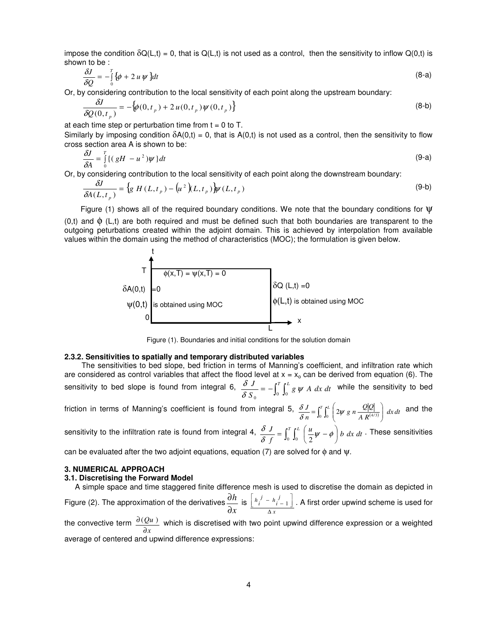impose the condition  $\delta Q(L,t) = 0$ , that is  $Q(L,t)$  is not used as a control, then the sensitivity to inflow  $Q(0,t)$  is shown to be :

$$
\frac{\delta J}{\delta Q} = -\int_0^T \{\phi + 2 u \psi\} dt \tag{8-a}
$$

Or, by considering contribution to the local sensitivity of each point along the upstream boundary:

$$
\frac{\delta J}{\delta Q(0, t_p)} = -\{\phi(0, t_p) + 2u(0, t_p)\psi(0, t_p)\}\tag{8-b}
$$

at each time step or perturbation time from  $t = 0$  to T.

Similarly by imposing condition  $\delta A(0,t) = 0$ , that is  $A(0,t)$  is not used as a control, then the sensitivity to flow cross section area A is shown to be:

$$
\frac{\delta J}{\delta A} = \int_{0}^{T} \{ (gH - u^2) \psi \} dt
$$
 (9-a)

Or, by considering contribution to the local sensitivity of each point along the downstream boundary:

$$
\frac{\delta J}{\delta A(L, t_p)} = \left\{ g \ H(L, t_p) - \left( u^2 \right) (L, t_p) \right\} \psi(L, t_p) \tag{9-b}
$$

Figure (1) shows all of the required boundary conditions. We note that the boundary conditions for  $\Psi$ 

(0,t) and  $\phi$  (L,t) are both required and must be defined such that both boundaries are transparent to the outgoing peturbations created within the adjoint domain. This is achieved by interpolation from available values within the domain using the method of characteristics (MOC); the formulation is given below.



Figure (1). Boundaries and initial conditions for the solution domain

# **2.3.2. Sensitivities to spatially and temporary distributed variables**

The sensitivities to bed slope, bed friction in terms of Manning's coefficient, and infiltration rate which are considered as control variables that affect the flood level at  $x = x_0$  can be derived from equation (6). The sensitivity to bed slope is found from integral 6,  $\frac{\delta J}{\delta S_0} = -\int_0^T \int_0^L g \psi A \ dx dt$  $\overline{\delta S_{\alpha}}$  =  $-J_0$   $J_0$   $g \psi$  $\frac{\delta J}{\delta}$  =  $-\int^T \int^L g \, \psi \, A \, dx \, dt$  while the sensitivity to bed

friction in terms of Manning's coefficient is found from integral 5,  $\frac{\delta J}{\delta n} = \int_0^r \int_0^L \left( 2\psi \, g \, n \, \frac{Q|Q|}{A \, R^{(4/3)}} \right) \, dx \, dt$  $\frac{J}{n} = \int_0^T \int_0^L \left( 2\psi g \, n \, \frac{Q|Q|}{A R^{(4/3)}} \right)$ J ℩  $\overline{\phantom{a}}$ ∖  $\frac{\delta J}{\delta n} = \int_0^T \int_0^L \left( 2\psi g n \frac{Q|Q|}{A R^{(4/3)}} \right)$  $\frac{\delta J}{\delta}$  =  $\int_1^T \int_1^L \left( \frac{\partial w}{\partial u} g \right) \frac{Q|Q|}{\delta u} dx$  and the

sensitivity to the infiltration rate is found from integral 4,  $\frac{\delta J}{\delta f} = \int_0^r \int_0^L \left( \frac{u}{2} \psi - \phi \right) b \ dx \ dt$  $\left(\frac{u}{2}\psi-\phi\right)$  $\frac{\delta J}{\delta f} = \int_0^T \int_0^L \left( \frac{u}{2} \psi - \phi \right)$  $\frac{\delta J}{\delta}$  =  $\int^T \int^L \left( \frac{u}{-w} - \phi \right) b \, dx \, dt$ . These sensitivities

can be evaluated after the two adjoint equations, equation (7) are solved for  $\phi$  and  $\psi$ .

# **3. NUMERICAL APPROACH**

#### **3.1. Discretising the Forward Model**

 A simple space and time staggered finite difference mesh is used to discretise the domain as depicted in Figure (2). The approximation of the derivatives *x h* ∂  $\frac{\partial h}{\partial t}$  is *x j*  $\frac{j}{i} - h$ <sub>*i*</sub> *i h* ∆  $\overline{\phantom{a}}$  $h_i^j - h_{i-1}^j$ Г  $\left\lceil \frac{h_{i-1}^J}{h_{i-1}^J} \right\rceil$ . A first order upwind scheme is used for *Qu*

the convective term *x* ∂  $\frac{\partial (Qu)}{\partial u}$  which is discretised with two point upwind difference expression or a weighted average of centered and upwind difference expressions: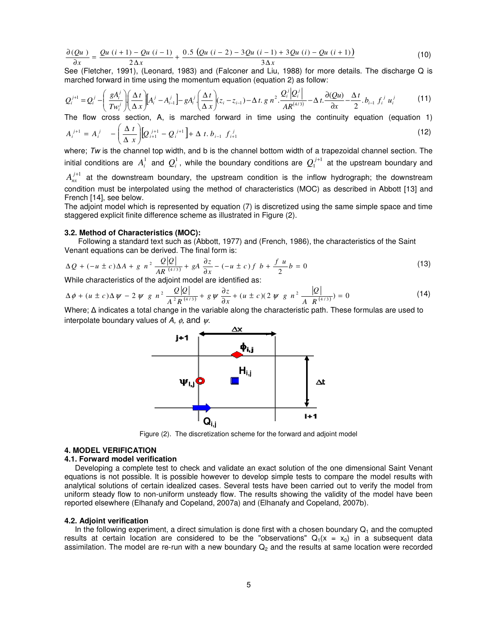$$
\frac{\partial (Qu)}{\partial x} = \frac{Qu (i + 1) - Qu (i - 1)}{2 \Delta x} + \frac{0.5 (Qu (i - 2) - 3Qu (i - 1) + 3Qu (i) - Qu (i + 1))}{3 \Delta x}
$$
(10)

See (Fletcher, 1991), (Leonard, 1983) and (Falconer and Liu, 1988) for more details. The discharge Q is marched forward in time using the momentum equation (equation 2) as follow:

$$
Q_i^{j+1} = Q_i^j - \left(\frac{g A_i^j}{T w_i^j}\right) \left(\frac{\Delta t}{\Delta x}\right) \left[A_i^j - A_{i-1}^j\right] - g A_i^j \left(\frac{\Delta t}{\Delta x}\right) (z_i - z_{i-1}) - \Delta t. g n^2 \cdot \frac{Q_i^j |Q_i^j|}{AR^{(4/3)}} - \Delta t. \frac{\partial (Qu)}{\partial x} - \frac{\Delta t}{2} b_{i-1} f_i^j u_i^j \tag{11}
$$

The flow cross section, A, is marched forward in time using the continuity equation (equation 1)

$$
A_i^{j+1} = A_i^j - \left(\frac{\Delta t}{\Delta x}\right) [Q_{i+1}^{j+1} - Q_i^{j+1}] + \Delta t . b_{i-1} f_{i+1}^j
$$
\n(12)

where; Tw is the channel top width, and b is the channel bottom width of a trapezoidal channel section. The initial conditions are  $A_i^1$  and  $Q_i^1$ , while the boundary conditions are  $Q_1^{j+1}$  at the upstream boundary and

 $A_{nx}^{j+1}$  at the downstream boundary, the upstream condition is the inflow hydrograph; the downstream condition must be interpolated using the method of characteristics (MOC) as described in Abbott [13] and French [14], see below.

The adjoint model which is represented by equation (7) is discretized using the same simple space and time staggered explicit finite difference scheme as illustrated in Figure (2).

# **3.2. Method of Characteristics (MOC):**

 Following a standard text such as (Abbott, 1977) and (French, 1986), the characteristics of the Saint Venant equations can be derived. The final form is:

$$
\Delta Q + (-u \pm c)\Delta A + g n^2 \frac{Q|Q|}{AR^{(4/3)}} + gA \frac{\partial z}{\partial x} - (-u \pm c)f b + \frac{f u}{2}b = 0
$$
\n(13)

While characteristics of the adjoint model are identified as:

$$
\Delta \phi + (u \pm c) \Delta \psi - 2 \psi g n^2 \frac{Q|Q|}{A^2 R^{(4/3)}} + g \psi \frac{\partial z}{\partial x} + (u \pm c) (2 \psi g n^2 \frac{|Q|}{A R^{(4/3)}}) = 0
$$
 (14)

*Q*

Where;  $\Delta$  indicates a total change in the variable along the characteristic path. These formulas are used to interpolate boundary values of A,  $\phi$ , and  $\psi$ .



Figure (2). The discretization scheme for the forward and adjoint model

# **4. MODEL VERIFICATION**

## **4.1. Forward model verification**

 Developing a complete test to check and validate an exact solution of the one dimensional Saint Venant equations is not possible. It is possible however to develop simple tests to compare the model results with analytical solutions of certain idealized cases. Several tests have been carried out to verify the model from uniform steady flow to non-uniform unsteady flow. The results showing the validity of the model have been reported elsewhere (Elhanafy and Copeland, 2007a) and (Elhanafy and Copeland, 2007b).

# **4.2. Adjoint verification**

In the following experiment, a direct simulation is done first with a chosen boundary  $Q_1$  and the comupted results at certain location are considered to be the "observations"  $Q_1(x = x_0)$  in a subsequent data assimilation. The model are re-run with a new boundary  $Q<sub>2</sub>$  and the results at same location were recorded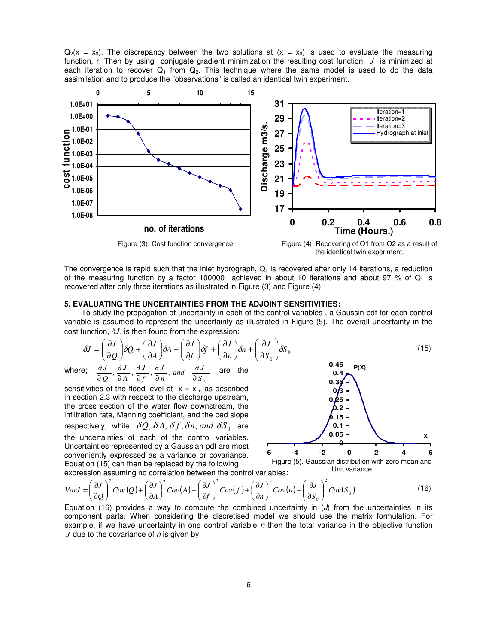$Q_2(x = x_0)$ . The discrepancy between the two solutions at  $(x = x_0)$  is used to evaluate the measuring function, r. Then by using conjugate gradient minimization the resulting cost function, *J* is minimized at each iteration to recover  $Q_1$  from  $Q_2$ . This technique where the same model is used to do the data assimilation and to produce the "observations" is called an identical twin experiment.



The convergence is rapid such that the inlet hydrograph,  $Q<sub>1</sub>$  is recovered after only 14 iterations, a reduction of the measuring function by a factor 100000 achieved in about 10 iterations and about 97 % of  $Q_1$  is recovered after only three iterations as illustrated in Figure (3) and Figure (4).

# **5. EVALUATING THE UNCERTAINTIES FROM THE ADJOINT SENSITIVITIES:**

To study the propagation of uncertainty in each of the control variables , a Gaussin pdf for each control variable is assumed to represent the uncertainty as illustrated in Figure (5). The overall uncertainty in the cost function,  $\delta J$ , is then found from the expression:

$$
\delta J = \left(\frac{\partial J}{\partial Q}\right) \delta Q + \left(\frac{\partial J}{\partial A}\right) \delta A + \left(\frac{\partial J}{\partial f}\right) \delta f + \left(\frac{\partial J}{\partial n}\right) \delta n + \left(\frac{\partial J}{\partial S_0}\right) \delta S_0
$$
\n(15)

where;  $\mathbf{0}$  $\frac{\partial}{\partial A}, \frac{\partial}{\partial f}, \frac{\partial}{\partial n},$  and  $\frac{\partial}{\partial S}$  $\frac{J}{n}$ , and  $\frac{\partial J}{\partial S}$ *J f J A J Q J* ∂ ∂ ∂ ∂ ∂ ∂ ∂ ∂ ∂  $\frac{\partial J}{\partial x}$   $\frac{\partial J}{\partial y}$   $\frac{\partial J}{\partial y}$  and  $\frac{\partial J}{\partial y}$  are the

sensitivities of the flood level at  $x = x_0$  as described in section 2.3 with respect to the discharge upstream, the cross section of the water flow downstream, the infiltration rate, Manning coefficient, and the bed slope respectively, while  $\delta Q$ ,  $\delta A$ ,  $\delta f$ ,  $\delta n$ , and  $\delta S_0$  are the uncertainties of each of the control variables. Uncertainties represented by a Gaussian pdf are most conveniently expressed as a variance or covariance. Equation (15) can then be replaced by the following expression assuming no correlation between the control variables:

**0 0.05 0.1 0.15 0.2 0.25 0.3 0.35 0.4 0.45 -6 -4 -2 0 2 4 6 X P(X)**

Figure (5). Gaussian distribution with zero mean and Unit variance

 $(Q) + \left(\frac{\partial J}{\partial x}\right)^2 Cov(A) + \left(\frac{\partial J}{\partial y}\right)^2 Cov(f) + \left(\frac{\partial J}{\partial y}\right)^2 Cov(n) + \left(\frac{\partial J}{\partial y}\right)^2 Cov(S_0)$ 0 2  $(\gamma r)^2$   $(\gamma r)^2$   $(\gamma r)^2$  $\left(\frac{\delta}{S_0}\right)$  Cov(S)  $\left(\frac{J}{n}\right)^2$  *Cov*  $(n)$  +  $\left(\frac{\partial J}{\partial S_0}\right)$  $\left(\frac{J}{f}\right)^2$  Cov(f) +  $\left(\frac{\partial J}{\partial n}\right)$  $\left(\frac{J}{A}\right)^2$  *Cov*  $(A) + \left(\frac{\partial J}{\partial f}\right)$  $\left(\frac{J}{Q}\right)^{2}Cov(Q)+\left(\frac{\partial J}{\partial A}\right)$  $VarJ = \left(\frac{\partial J}{\partial Q}\right)^2 Cov(Q) + \left(\frac{\partial J}{\partial A}\right)^2 Cov(A) + \left(\frac{\partial J}{\partial f}\right)^2 Cov(f) + \left(\frac{\partial J}{\partial r}\right)^2 Cov(n) + \left(\frac{\partial J}{\partial s}\right)^2 Cov(f)$ J Ì  $\overline{\phantom{a}}$ ∖ ſ ∂  $\int^{2}Cov(n)+\left(\frac{\partial}{\partial x}\right)^{2}$  $\left(\frac{\partial J}{\partial n}\right)$ ſ ∂  $\int$   $Cov(f) + \left(\frac{\partial}{\partial x}\right)$ J  $\backslash$  $\overline{\phantom{a}}$ l ſ ∂  $\int^{2}Cov(A)+\left(\frac{\partial}{\partial S}\right)^{2}$  $\left(\frac{\partial J}{\partial A}\right)$ ſ ∂  $\int_{a}^{b} Cov(Q) + \left(\frac{\partial}{\partial Q}\right)^2$ J  $\backslash$  $\overline{\phantom{a}}$ ∖ ſ ∂  $=\left(\frac{\partial J}{\partial \rho}\right)^{2}Cov(Q) + \left(\frac{\partial J}{\partial \rho}\right)^{2}Cov(A) + \left(\frac{\partial J}{\partial \rho}\right)^{2}Cov(f) + \left(\frac{\partial J}{\partial \rho}\right)^{2}Cov(n) + \left(\frac{\partial J}{\partial \rho}\right)^{2}Cov(S_{0})$  (16)

Equation (16) provides a way to compute the combined uncertainty in  $(J)$  from the uncertainties in its component parts. When considering the discretised model we should use the matrix formulation. For example, if we have uncertainty in one control variable  $n$  then the total variance in the objective function *J* due to the covariance of *n* is given by: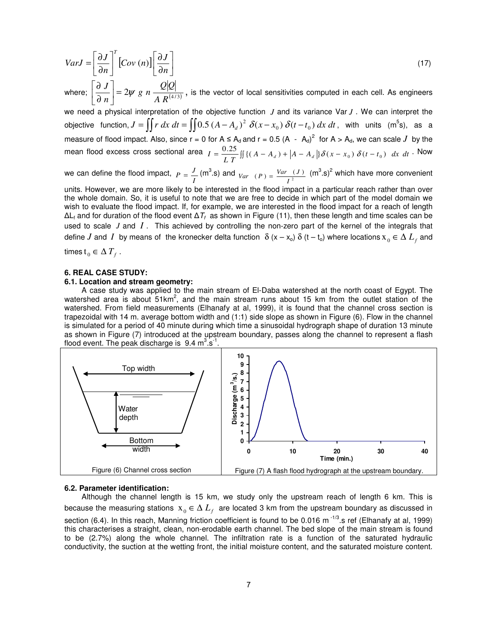$$
VarJ = \left[\frac{\partial J}{\partial n}\right]^T \left[Cov(n)\right] \left[\frac{\partial J}{\partial n}\right]
$$
\n(17)

where;  $\left| \frac{\partial}{\partial n} \right| = 2\psi g n \frac{\mathcal{Z}|\mathcal{Z}|}{4 \mathcal{R}^{(4/3)}}$ *A R ng n*  $\vert = 2\psi$ J  $\mathbf{r}$ L ∂  $\left|\frac{\partial J}{\partial \theta}\right| = 2\psi g n \frac{Q|Q|}{I \Omega^{(1/3)}}$ , is the vector of local sensitivities computed in each cell. As engineers

we need a physical interpretation of the objective function *J* and its variance Var *J* . We can interpret the objective function,  $J = \iint r \, dx \, dt = \iint 0.5 (A - A_d)^2 \, \delta(x - x_0) \, \delta(t - t_0) \, dx \, dt$ , with units (m<sup>5</sup>s), as a measure of flood impact. Also, since r = 0 for A  $\leq$  A<sub>d</sub> and r = 0.5 (A  $-$  A<sub>d</sub>)<sup>2</sup> for A > A<sub>d</sub>, we can scale J by the mean flood excess cross sectional area  $I = \frac{0.25}{L T} \iint \{(A - A_d) + |A - A_d| \} \delta(x - x_0) \delta(t - t_0) dx dt$ . Now

we can define the flood impact, *I*  $P = \frac{J}{I}$  (m<sup>3</sup>.s) and  $V_{ar}$  (P) =  $\frac{Var (J)}{I^2}$  $Var(P) = \frac{Var(I)}{I}$  (m<sup>3</sup>.s)<sup>2</sup> which have more convenient

units. However, we are more likely to be interested in the flood impact in a particular reach rather than over the whole domain. So, it is useful to note that we are free to decide in which part of the model domain we wish to evaluate the flood impact. If, for example, we are interested in the flood impact for a reach of length  $\Delta\mathsf{L}_\mathsf{f}$  and for duration of the flood event  $\Delta\mathcal{T}_\mathsf{f}$  as shown in Figure (11), then these length and time scales can be used to scale *J* and *I* . This achieved by controlling the non-zero part of the kernel of the integrals that define  $J$  and  $I$  by means of the kronecker delta function  $\delta$  (x – x<sub>o</sub>)  $\delta$  (t – t<sub>o</sub>) where locations  $x_0 \in \Delta$   $L_f$  and

times  $t_0 \in \Delta T_f$  .

# **6. REAL CASE STUDY:**

# **6.1. Location and stream geometry:**

A case study was applied to the main stream of El-Daba watershed at the north coast of Egypt. The watershed area is about  $51 \text{km}^2$ , and the main stream runs about 15 km from the outlet station of the watershed. From field measurements (Elhanafy at al, 1999), it is found that the channel cross section is trapezoidal with 14 m. average bottom width and (1:1) side slope as shown in Figure (6). Flow in the channel is simulated for a period of 40 minute during which time a sinusoidal hydrograph shape of duration 13 minute as shown in Figure (7) introduced at the upstream boundary, passes along the channel to represent a flash flood event. The peak discharge is  $9.4 \text{ m}^3.\text{s}^{-1}$ .



### **6.2. Parameter identification:**

Although the channel length is 15 km, we study only the upstream reach of length 6 km. This is because the measuring stations  $x_{_0} \in \Delta$   $L_f^-$  are located 3 km from the upstream boundary as discussed in section (6.4). In this reach, Manning friction coefficient is found to be 0.016 m<sup>-1/3</sup>.s ref (Elhanafy at al, 1999) this characterises a straight, clean, non-erodable earth channel. The bed slope of the main stream is found to be (2.7%) along the whole channel. The infiltration rate is a function of the saturated hydraulic conductivity, the suction at the wetting front, the initial moisture content, and the saturated moisture content.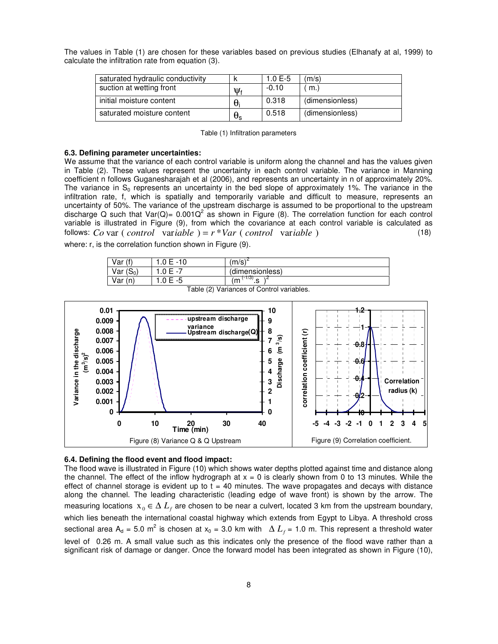The values in Table (1) are chosen for these variables based on previous studies (Elhanafy at al, 1999) to calculate the infiltration rate from equation (3).

| saturated hydraulic conductivity |                  | 1.0 $E-5$ | (m/s)           |
|----------------------------------|------------------|-----------|-----------------|
| suction at wetting front         | ખ                | $-0.10$   | m.              |
| initial moisture content         | θ                | 0.318     | (dimensionless) |
| saturated moisture content       | $\theta_{\rm s}$ | 0.518     | (dimensionless) |

|  |  | Table (1) Infiltration parameters |
|--|--|-----------------------------------|
|--|--|-----------------------------------|

#### **6.3. Defining parameter uncertainties:**

We assume that the variance of each control variable is uniform along the channel and has the values given in Table (2). These values represent the uncertainty in each control variable. The variance in Manning coefficient n follows Guganesharajah et al (2006), and represents an uncertainty in n of approximately 20%. The variance in  $S_0$  represents an uncertainty in the bed slope of approximately 1%. The variance in the infiltration rate, f, which is spatially and temporarily variable and difficult to measure, represents an uncertainty of 50%. The variance of the upstream discharge is assumed to be proportional to the upstream discharge Q such that Var(Q)= 0.001Q<sup>2</sup> as shown in Figure (8). The correlation function for each control variable is illustrated in Figure (9), from which the covariance at each control variable is calculated as follows: *Co* var ( *control* var*iable* ) = *r* \**Var* ( *control* var*iable* ) (18)

where: r, is the correlation function shown in Figure (9).

| Var (f)                                   | $1.0 E - 10$ | $(m/s)^2$       |  |
|-------------------------------------------|--------------|-----------------|--|
| Var $(S_0)$                               | 1.0 $E - 7$  | (dimensionless) |  |
| Var(n)                                    | $1.0 E - 5$  | $(-1/3)$<br>'n  |  |
| Table (2) Variances of Control variables. |              |                 |  |



# **6.4. Defining the flood event and flood impact:**

The flood wave is illustrated in Figure (10) which shows water depths plotted against time and distance along the channel. The effect of the inflow hydrograph at  $x = 0$  is clearly shown from 0 to 13 minutes. While the effect of channel storage is evident up to  $t = 40$  minutes. The wave propagates and decays with distance along the channel. The leading characteristic (leading edge of wave front) is shown by the arrow. The measuring locations  $x_0 \in \Delta$   $L_f$  are chosen to be near a culvert, located 3 km from the upstream boundary, which lies beneath the international coastal highway which extends from Egypt to Libya. A threshold cross sectional area A<sub>d</sub> = 5.0 m<sup>2</sup> is chosen at x<sub>0</sub> = 3.0 km with  $\Delta$   $L_f$  = 1.0 m. This represent a threshold water level of 0.26 m. A small value such as this indicates only the presence of the flood wave rather than a significant risk of damage or danger. Once the forward model has been integrated as shown in Figure (10),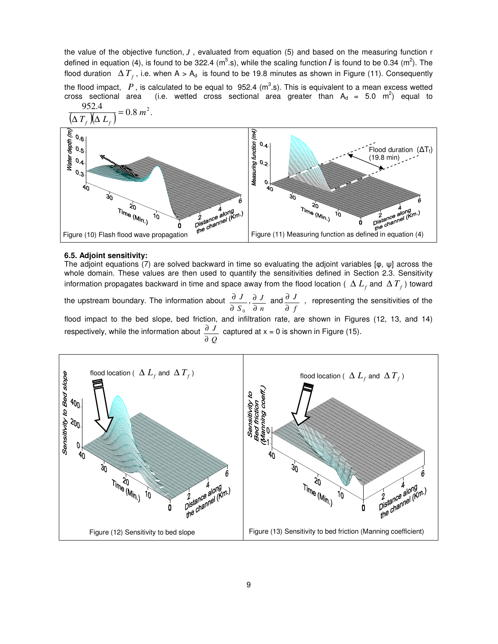the value of the objective function, *J* , evaluated from equation (5) and based on the measuring function r defined in equation (4), is found to be 322.4 (m<sup>5</sup>.s), while the scaling function *I* is found to be 0.34 (m<sup>2</sup>). The flood duration  $\Delta T_{f}$ , i.e. when A > A<sub>d</sub> is found to be 19.8 minutes as shown in Figure (11). Consequently

the flood impact,  $P$ , is calculated to be equal to 952.4 (m<sup>3</sup>.s). This is equivalent to a mean excess wetted cross sectional area (i.e. wetted cross sectional area greater than  $A_d = 5.0$  m<sup>2</sup>) equal to



## **6.5. Adjoint sensitivity:**

The adjoint equations (7) are solved backward in time so evaluating the adjoint variables [φ, ψ] across the whole domain. These values are then used to quantify the sensitivities defined in Section 2.3. Sensitivity information propagates backward in time and space away from the flood location (  $\Delta~L_{_f}$  and  $\Delta~T_{_f}$ ) toward

the upstream boundary. The information about  $S_{\,0}$ *J* ∂  $\partial J$ , *n J* ∂  $\frac{\partial}{\partial L}$  and *f J* ∂  $\frac{\partial}{\partial}$  , representing the sensitivities of the

flood impact to the bed slope, bed friction, and infiltration rate, are shown in Figures (12, 13, and 14) respectively, while the information about *Q J* ∂  $\frac{\partial J}{\partial x}$  captured at x = 0 is shown in Figure (15).

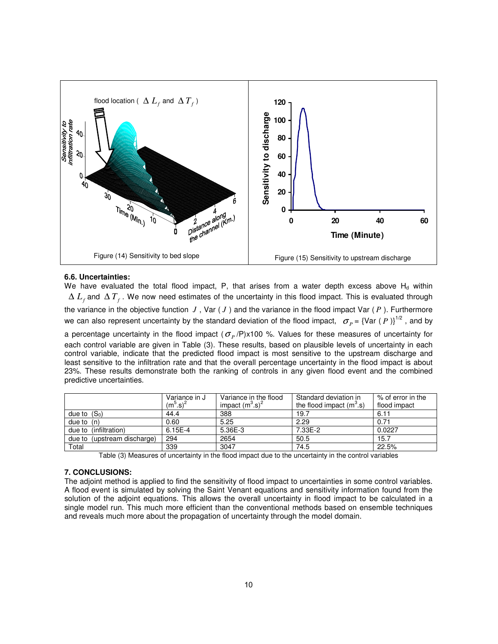

# **6.6. Uncertainties:**

We have evaluated the total flood impact, P, that arises from a water depth excess above  $H_d$  within ∆ *L<sup>f</sup>* and ∆ *T<sup>f</sup>* . We now need estimates of the uncertainty in this flood impact. This is evaluated through the variance in the objective function  $J$ , Var  $(J)$  and the variance in the flood impact Var  $(P)$ . Furthermore we can also represent uncertainty by the standard deviation of the flood impact,  $\sigma_p$  = {Var ( *P* )}<sup>1/2</sup>, and by a percentage uncertainty in the flood impact ( $\sigma_{_P}$ /P)x100 %. Values for these measures of uncertainty for each control variable are given in Table (3). These results, based on plausible levels of uncertainty in each control variable, indicate that the predicted flood impact is most sensitive to the upstream discharge and least sensitive to the infiltration rate and that the overall percentage uncertainty in the flood impact is about 23%. These results demonstrate both the ranking of controls in any given flood event and the combined predictive uncertainties.

|                             | Variance in J                    | Standard deviation in<br>Variance in the flood |                            | % of error in the |
|-----------------------------|----------------------------------|------------------------------------------------|----------------------------|-------------------|
|                             | (m <sup>5</sup> .s) <sup>2</sup> | impact $(m^3.s)^2$                             | the flood impact $(m^3.s)$ | flood impact      |
| due to $(S_0)$              | 44.4                             | 388                                            | 19.7                       | 6.11              |
| due to $(n)$                | 0.60                             | 5.25                                           | 2.29                       | 0.71              |
| due to (infiltration)       | 6.15E-4                          | 5.36E-3                                        | 7.33E-2                    | 0.0227            |
| due to (upstream discharge) | 294                              | 2654                                           | 50.5                       | 15.7              |
| Total                       | 339                              | 3047                                           | 74.5                       | 22.5%             |

Table (3) Measures of uncertainty in the flood impact due to the uncertainty in the control variables

# **7. CONCLUSIONS:**

The adjoint method is applied to find the sensitivity of flood impact to uncertainties in some control variables. A flood event is simulated by solving the Saint Venant equations and sensitivity information found from the solution of the adjoint equations. This allows the overall uncertainty in flood impact to be calculated in a single model run. This much more efficient than the conventional methods based on ensemble techniques and reveals much more about the propagation of uncertainty through the model domain.